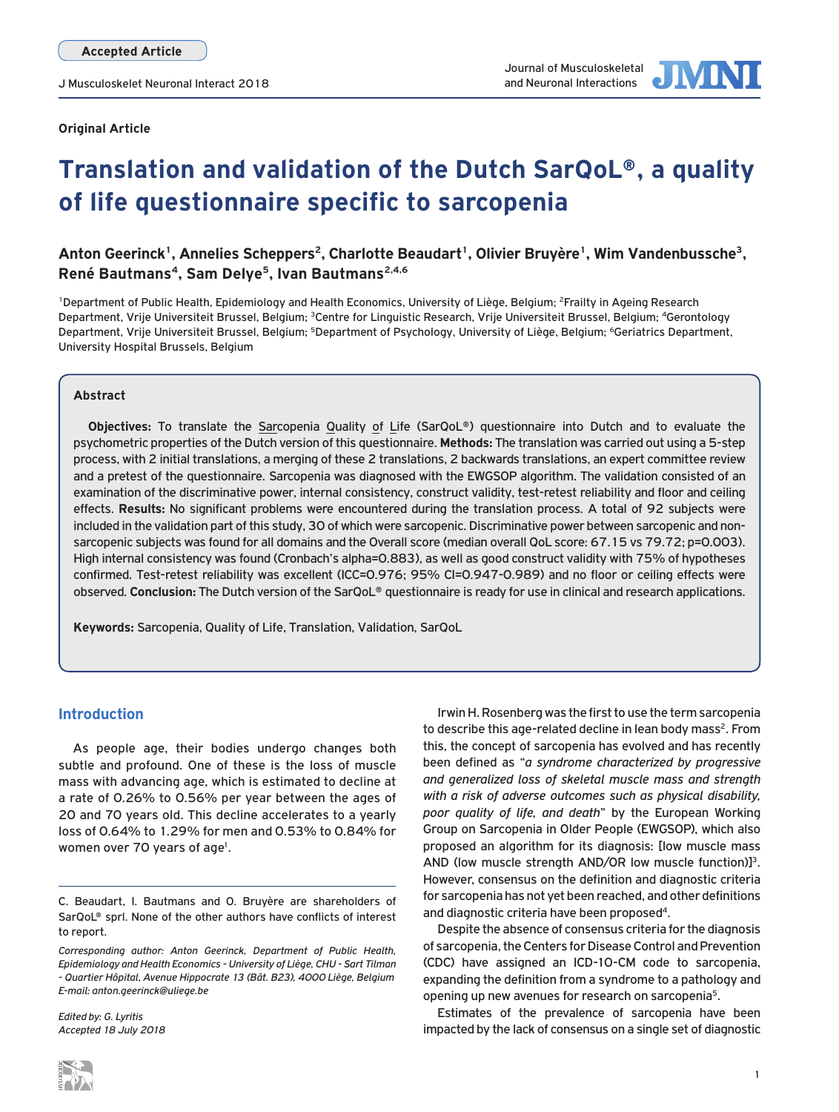

# **Translation and validation of the Dutch SarQoL®, a quality of life questionnaire specific to sarcopenia**

# Anton Geerinck<sup>1</sup>, Annelies Scheppers<sup>2</sup>, Charlotte Beaudart<sup>1</sup>, Olivier Bruyère<sup>1</sup>, Wim Vandenbussche<sup>3</sup>, **René Bautmans4, Sam Delye5, Ivan Bautmans2,4,6**

<sup>1</sup>Department of Public Health, Epidemiology and Health Economics, University of Liège, Belgium; <sup>2</sup>Frailty in Ageing Research Department, Vrije Universiteit Brussel, Belgium; <sup>3</sup>Centre for Linguistic Research, Vrije Universiteit Brussel, Belgium; <sup>4</sup>Gerontology Department, Vrije Universiteit Brussel, Belgium; <sup>5</sup>Department of Psychology, University of Liège, Belgium; <sup>6</sup>Geriatrics Department, University Hospital Brussels, Belgium

## **Abstract**

**Objectives:** To translate the Sarcopenia Quality of Life (SarQoL®) questionnaire into Dutch and to evaluate the psychometric properties of the Dutch version of this questionnaire. **Methods:** The translation was carried out using a 5-step process, with 2 initial translations, a merging of these 2 translations, 2 backwards translations, an expert committee review and a pretest of the questionnaire. Sarcopenia was diagnosed with the EWGSOP algorithm. The validation consisted of an examination of the discriminative power, internal consistency, construct validity, test-retest reliability and floor and ceiling effects. **Results:** No significant problems were encountered during the translation process. A total of 92 subjects were included in the validation part of this study, 30 of which were sarcopenic. Discriminative power between sarcopenic and nonsarcopenic subjects was found for all domains and the Overall score (median overall QoL score: 67.15 vs 79.72; p=0.003). High internal consistency was found (Cronbach's alpha=0.883), as well as good construct validity with 75% of hypotheses confirmed. Test-retest reliability was excellent (ICC=0.976; 95% CI=0.947-0.989) and no floor or ceiling effects were observed. **Conclusion:** The Dutch version of the SarQoL® questionnaire is ready for use in clinical and research applications.

**Keywords:** Sarcopenia, Quality of Life, Translation, Validation, SarQoL

# **Introduction**

As people age, their bodies undergo changes both subtle and profound. One of these is the loss of muscle mass with advancing age, which is estimated to decline at a rate of 0.26% to 0.56% per year between the ages of 20 and 70 years old. This decline accelerates to a yearly loss of 0.64% to 1.29% for men and 0.53% to 0.84% for women over 70 years of age<sup>1</sup>.

*Edited by: G. Lyritis Accepted 18 July 2018*

Irwin H. Rosenberg was the first to use the term sarcopenia to describe this age-related decline in lean body mass<sup>2</sup>. From this, the concept of sarcopenia has evolved and has recently been defined as "*a syndrome characterized by progressive and generalized loss of skeletal muscle mass and strength with a risk of adverse outcomes such as physical disability, poor quality of life, and death*" by the European Working Group on Sarcopenia in Older People (EWGSOP), which also proposed an algorithm for its diagnosis: [low muscle mass AND (low muscle strength AND/OR low muscle function)]<sup>3</sup>. However, consensus on the definition and diagnostic criteria for sarcopenia has not yet been reached, and other definitions and diagnostic criteria have been proposed<sup>4</sup>.

Despite the absence of consensus criteria for the diagnosis of sarcopenia, the Centers for Disease Control and Prevention (CDC) have assigned an ICD-10-CM code to sarcopenia, expanding the definition from a syndrome to a pathology and opening up new avenues for research on sarcopenia<sup>5</sup>.

Estimates of the prevalence of sarcopenia have been impacted by the lack of consensus on a single set of diagnostic

C. Beaudart, I. Bautmans and O. Bruyère are shareholders of SarQoL® sprl. None of the other authors have conflicts of interest to report.

*Corresponding author: Anton Geerinck, Department of Public Health, Epidemiology and Health Economics - University of Liège, CHU - Sart Tilman - Quartier Hôpital, Avenue Hippocrate 13 (Bât. B23), 4000 Liège, Belgium E-mail: anton.geerinck@uliege.be*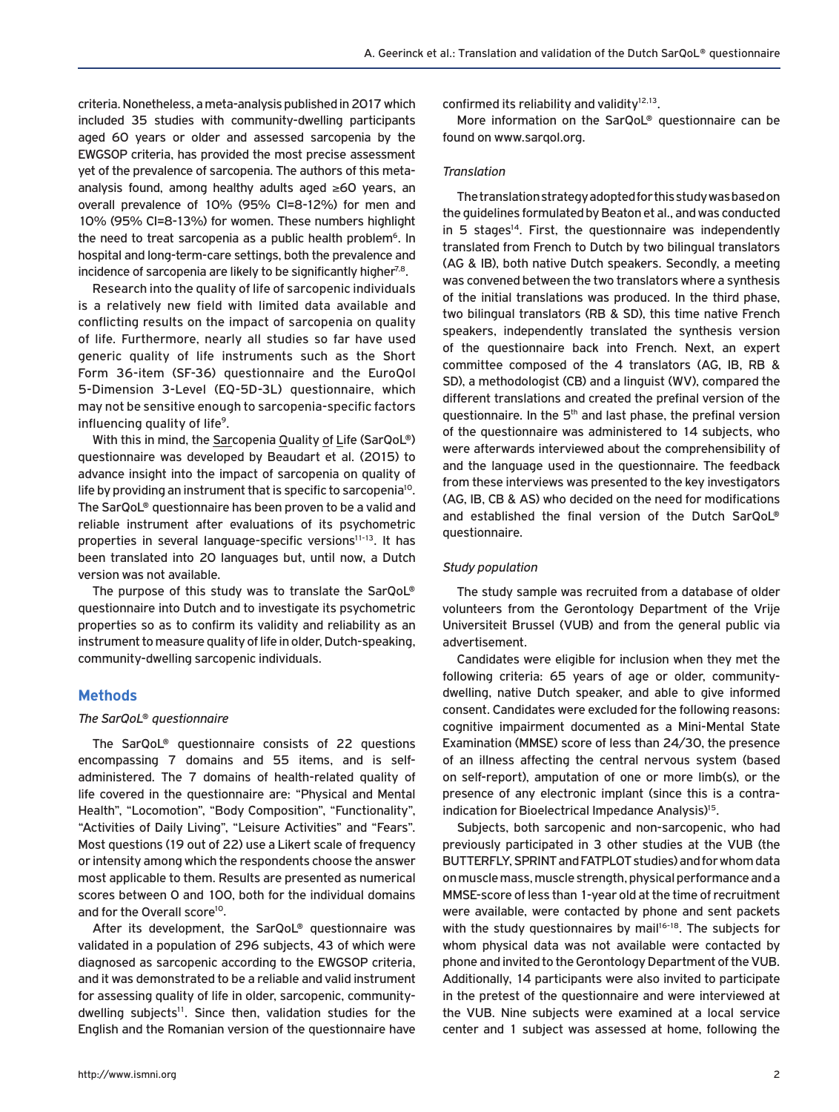criteria. Nonetheless, a meta-analysis published in 2017 which included 35 studies with community-dwelling participants aged 60 years or older and assessed sarcopenia by the EWGSOP criteria, has provided the most precise assessment yet of the prevalence of sarcopenia. The authors of this metaanalysis found, among healthy adults aged ≥60 years, an overall prevalence of 10% (95% CI=8-12%) for men and 10% (95% CI=8-13%) for women. These numbers highlight the need to treat sarcopenia as a public health problem<sup>6</sup>. In hospital and long-term-care settings, both the prevalence and incidence of sarcopenia are likely to be significantly higher<sup>7,8</sup>.

Research into the quality of life of sarcopenic individuals is a relatively new field with limited data available and conflicting results on the impact of sarcopenia on quality of life. Furthermore, nearly all studies so far have used generic quality of life instruments such as the Short Form 36-item (SF-36) questionnaire and the EuroQol 5-Dimension 3-Level (EQ-5D-3L) questionnaire, which may not be sensitive enough to sarcopenia-specific factors influencing quality of life<sup>9</sup>.

With this in mind, the Sarcopenia Quality of Life (SarQoL®) questionnaire was developed by Beaudart et al. (2015) to advance insight into the impact of sarcopenia on quality of life by providing an instrument that is specific to sarcopenia<sup>10</sup>. The SarQoL® questionnaire has been proven to be a valid and reliable instrument after evaluations of its psychometric properties in several language-specific versions<sup>11-13</sup>. It has been translated into 20 languages but, until now, a Dutch version was not available.

The purpose of this study was to translate the SarQoL® questionnaire into Dutch and to investigate its psychometric properties so as to confirm its validity and reliability as an instrument to measure quality of life in older, Dutch-speaking, community-dwelling sarcopenic individuals.

## **Methods**

#### *The SarQoL® questionnaire*

The SarQoL® questionnaire consists of 22 questions encompassing 7 domains and 55 items, and is selfadministered. The 7 domains of health-related quality of life covered in the questionnaire are: "Physical and Mental Health", "Locomotion", "Body Composition", "Functionality", "Activities of Daily Living", "Leisure Activities" and "Fears". Most questions (19 out of 22) use a Likert scale of frequency or intensity among which the respondents choose the answer most applicable to them. Results are presented as numerical scores between 0 and 100, both for the individual domains and for the Overall score<sup>10</sup>.

After its development, the SarQoL® questionnaire was validated in a population of 296 subjects, 43 of which were diagnosed as sarcopenic according to the EWGSOP criteria, and it was demonstrated to be a reliable and valid instrument for assessing quality of life in older, sarcopenic, communitydwelling subjects<sup>11</sup>. Since then, validation studies for the English and the Romanian version of the questionnaire have confirmed its reliability and validity $12,13$ .

More information on the SarQoL® questionnaire can be found on www.sarqol.org.

## *Translation*

The translation strategy adopted for this study was based on the guidelines formulated by Beaton et al., and was conducted in 5 stages<sup>14</sup>. First, the questionnaire was independently translated from French to Dutch by two bilingual translators (AG & IB), both native Dutch speakers. Secondly, a meeting was convened between the two translators where a synthesis of the initial translations was produced. In the third phase, two bilingual translators (RB & SD), this time native French speakers, independently translated the synthesis version of the questionnaire back into French. Next, an expert committee composed of the 4 translators (AG, IB, RB & SD), a methodologist (CB) and a linguist (WV), compared the different translations and created the prefinal version of the questionnaire. In the 5<sup>th</sup> and last phase, the prefinal version of the questionnaire was administered to 14 subjects, who were afterwards interviewed about the comprehensibility of and the language used in the questionnaire. The feedback from these interviews was presented to the key investigators (AG, IB, CB & AS) who decided on the need for modifications and established the final version of the Dutch SarQoL® questionnaire.

#### *Study population*

The study sample was recruited from a database of older volunteers from the Gerontology Department of the Vrije Universiteit Brussel (VUB) and from the general public via advertisement.

Candidates were eligible for inclusion when they met the following criteria: 65 years of age or older, communitydwelling, native Dutch speaker, and able to give informed consent. Candidates were excluded for the following reasons: cognitive impairment documented as a Mini-Mental State Examination (MMSE) score of less than 24/30, the presence of an illness affecting the central nervous system (based on self-report), amputation of one or more limb(s), or the presence of any electronic implant (since this is a contraindication for Bioelectrical Impedance Analysis)<sup>15</sup>.

Subjects, both sarcopenic and non-sarcopenic, who had previously participated in 3 other studies at the VUB (the BUTTERFLY, SPRINT and FATPLOT studies) and for whom data on muscle mass, muscle strength, physical performance and a MMSE-score of less than 1-year old at the time of recruitment were available, were contacted by phone and sent packets with the study questionnaires by mail<sup>16-18</sup>. The subjects for whom physical data was not available were contacted by phone and invited to the Gerontology Department of the VUB. Additionally, 14 participants were also invited to participate in the pretest of the questionnaire and were interviewed at the VUB. Nine subjects were examined at a local service center and 1 subject was assessed at home, following the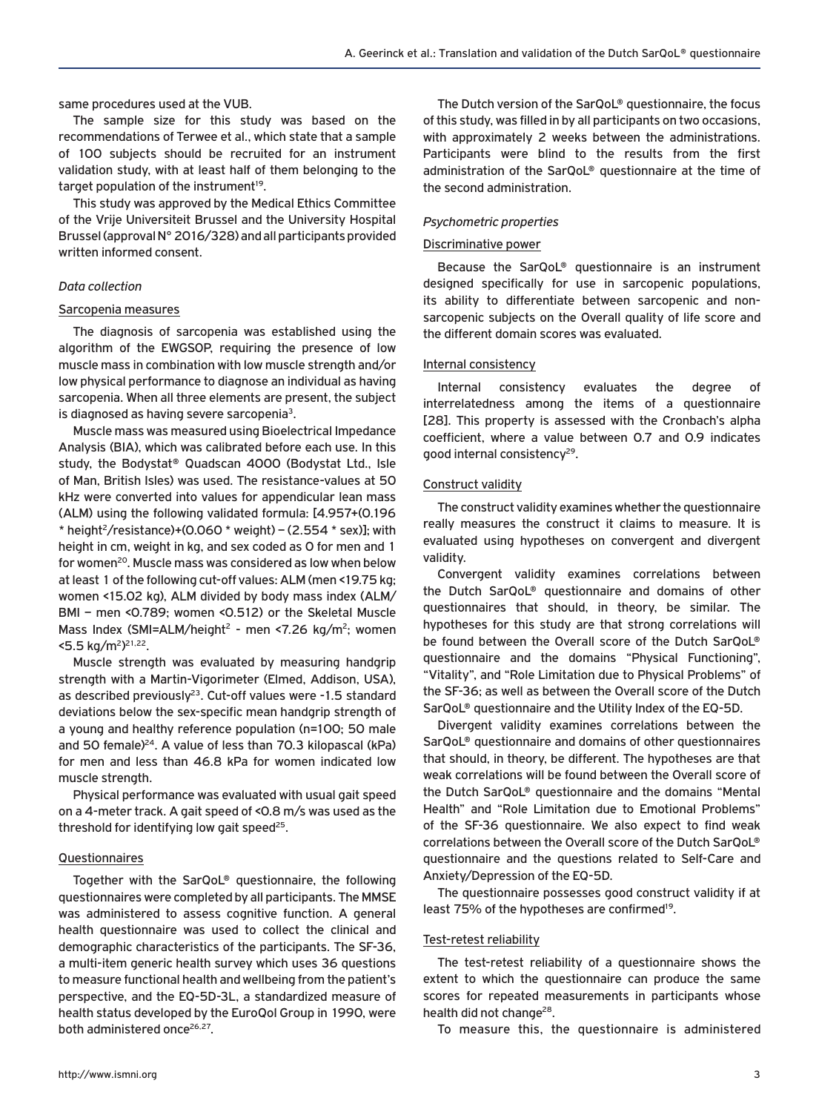same procedures used at the VUB.

The sample size for this study was based on the recommendations of Terwee et al., which state that a sample of 100 subjects should be recruited for an instrument validation study, with at least half of them belonging to the target population of the instrument<sup>19</sup>.

This study was approved by the Medical Ethics Committee of the Vrije Universiteit Brussel and the University Hospital Brussel (approval N° 2016/328) and all participants provided written informed consent.

## *Data collection*

#### Sarcopenia measures

The diagnosis of sarcopenia was established using the algorithm of the EWGSOP, requiring the presence of low muscle mass in combination with low muscle strength and/or low physical performance to diagnose an individual as having sarcopenia. When all three elements are present, the subject is diagnosed as having severe sarcopenia<sup>3</sup>.

Muscle mass was measured using Bioelectrical Impedance Analysis (BIA), which was calibrated before each use. In this study, the Bodystat® Quadscan 4000 (Bodystat Ltd., Isle of Man, British Isles) was used. The resistance-values at 50 kHz were converted into values for appendicular lean mass (ALM) using the following validated formula: [4.957+(0.196  $*$  height<sup>2</sup>/resistance)+(0.060  $*$  weight) – (2.554  $*$  sex)]; with height in cm, weight in kg, and sex coded as 0 for men and 1 for women<sup>20</sup>. Muscle mass was considered as low when below at least 1 of the following cut-off values: ALM (men <19.75 kg; women <15.02 kg), ALM divided by body mass index (ALM/ BMI – men <0.789; women <0.512) or the Skeletal Muscle Mass Index (SMI=ALM/height<sup>2</sup> - men <7.26 kg/m<sup>2</sup>; women <5.5 kg/m2) 21,22.

Muscle strength was evaluated by measuring handgrip strength with a Martin-Vigorimeter (Elmed, Addison, USA), as described previously<sup>23</sup>. Cut-off values were  $-1.5$  standard deviations below the sex-specific mean handgrip strength of a young and healthy reference population (n=100; 50 male and 50 female)<sup>24</sup>. A value of less than 70.3 kilopascal (kPa) for men and less than 46.8 kPa for women indicated low muscle strength.

Physical performance was evaluated with usual gait speed on a 4-meter track. A gait speed of <0.8 m/s was used as the threshold for identifying low gait speed $25$ .

#### Questionnaires

Together with the SarQoL® questionnaire, the following questionnaires were completed by all participants. The MMSE was administered to assess cognitive function. A general health questionnaire was used to collect the clinical and demographic characteristics of the participants. The SF-36, a multi-item generic health survey which uses 36 questions to measure functional health and wellbeing from the patient's perspective, and the EQ-5D-3L, a standardized measure of health status developed by the EuroQol Group in 1990, were both administered once<sup>26,27</sup>.

The Dutch version of the SarQoL® questionnaire, the focus of this study, was filled in by all participants on two occasions, with approximately 2 weeks between the administrations. Participants were blind to the results from the first administration of the SarQoL® questionnaire at the time of the second administration.

#### *Psychometric properties*

## Discriminative power

Because the SarQoL® questionnaire is an instrument designed specifically for use in sarcopenic populations, its ability to differentiate between sarcopenic and nonsarcopenic subjects on the Overall quality of life score and the different domain scores was evaluated.

## Internal consistency

Internal consistency evaluates the degree of interrelatedness among the items of a questionnaire [28]. This property is assessed with the Cronbach's alpha coefficient, where a value between 0.7 and 0.9 indicates good internal consistency<sup>29</sup>.

#### Construct validity

The construct validity examines whether the questionnaire really measures the construct it claims to measure. It is evaluated using hypotheses on convergent and divergent validity.

Convergent validity examines correlations between the Dutch SarQoL® questionnaire and domains of other questionnaires that should, in theory, be similar. The hypotheses for this study are that strong correlations will be found between the Overall score of the Dutch SarQoL® questionnaire and the domains "Physical Functioning", "Vitality", and "Role Limitation due to Physical Problems" of the SF-36; as well as between the Overall score of the Dutch SarQoL® questionnaire and the Utility Index of the EQ-5D.

Divergent validity examines correlations between the SarQoL® questionnaire and domains of other questionnaires that should, in theory, be different. The hypotheses are that weak correlations will be found between the Overall score of the Dutch SarQoL® questionnaire and the domains "Mental Health" and "Role Limitation due to Emotional Problems" of the SF-36 questionnaire. We also expect to find weak correlations between the Overall score of the Dutch SarQoL® questionnaire and the questions related to Self-Care and Anxiety/Depression of the EQ-5D.

The questionnaire possesses good construct validity if at least 75% of the hypotheses are confirmed<sup>19</sup>.

#### Test-retest reliability

The test-retest reliability of a questionnaire shows the extent to which the questionnaire can produce the same scores for repeated measurements in participants whose health did not change<sup>28</sup>.

To measure this, the questionnaire is administered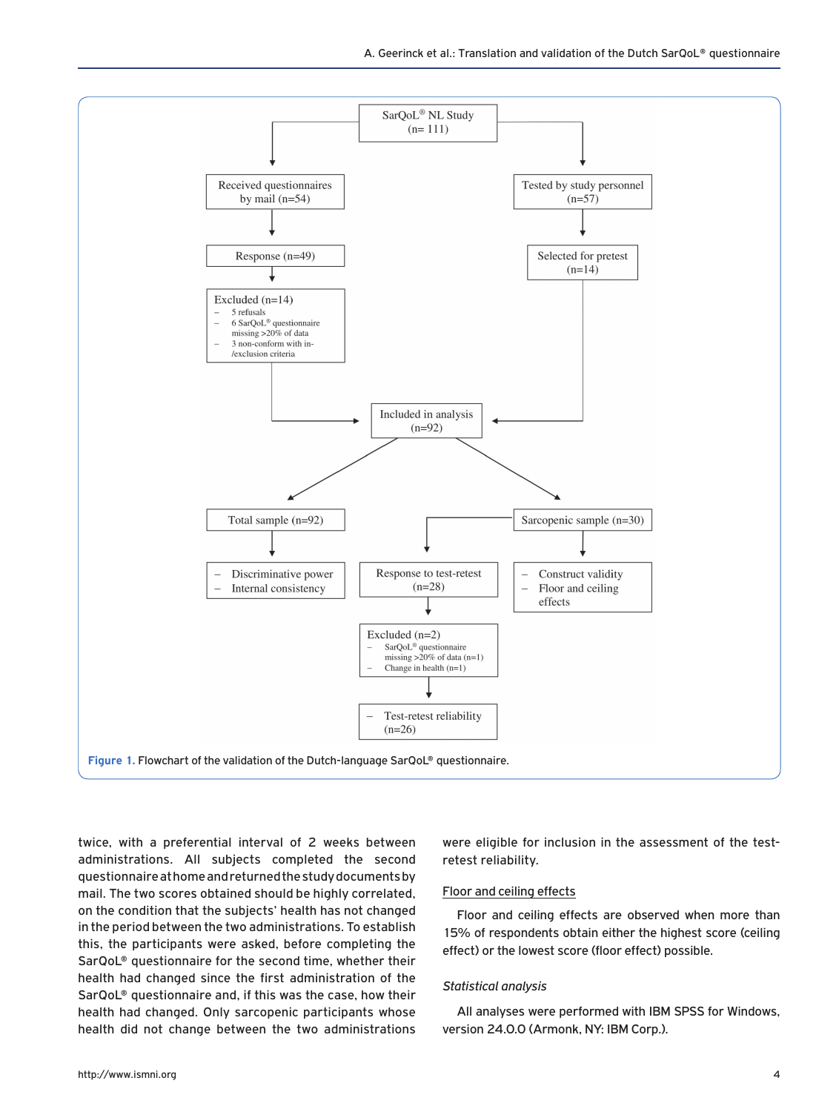

twice, with a preferential interval of 2 weeks between administrations. All subjects completed the second questionnaire at home and returned the study documents by mail. The two scores obtained should be highly correlated, on the condition that the subjects' health has not changed in the period between the two administrations. To establish this, the participants were asked, before completing the SarQoL® questionnaire for the second time, whether their health had changed since the first administration of the SarQoL® questionnaire and, if this was the case, how their health had changed. Only sarcopenic participants whose health did not change between the two administrations were eligible for inclusion in the assessment of the testretest reliability.

## Floor and ceiling effects

Floor and ceiling effects are observed when more than 15% of respondents obtain either the highest score (ceiling effect) or the lowest score (floor effect) possible.

#### *Statistical analysis*

All analyses were performed with IBM SPSS for Windows, version 24.0.0 (Armonk, NY: IBM Corp.).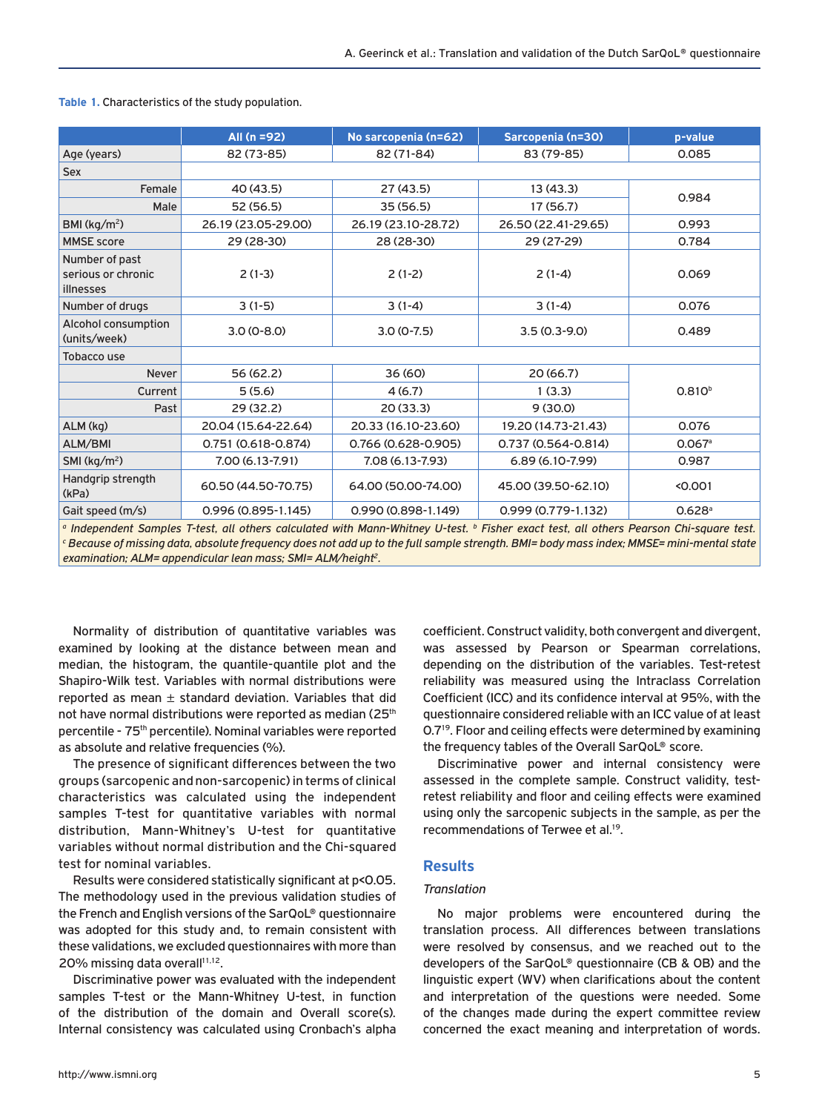|                                                                                                                                                                                                                                                                                                         | All $(n = 92)$                             | No sarcopenia (n=62)           | Sarcopenia (n=30)      | p-value              |  |
|---------------------------------------------------------------------------------------------------------------------------------------------------------------------------------------------------------------------------------------------------------------------------------------------------------|--------------------------------------------|--------------------------------|------------------------|----------------------|--|
| Age (years)                                                                                                                                                                                                                                                                                             | 82 (73-85)                                 | 82 (71-84)                     | 83 (79-85)             | 0.085                |  |
| <b>Sex</b>                                                                                                                                                                                                                                                                                              |                                            |                                |                        |                      |  |
| Female                                                                                                                                                                                                                                                                                                  | 40 (43.5)                                  | 27(43.5)                       | 13(43.3)               | 0.984                |  |
| Male                                                                                                                                                                                                                                                                                                    | 52 (56.5)                                  | 35(56.5)                       | 17(56.7)               |                      |  |
| BMI ( $kg/m2$ )                                                                                                                                                                                                                                                                                         | 26.19 (23.05-29.00)                        | 26.19 (23.10-28.72)            | 26.50 (22.41-29.65)    | 0.993                |  |
| <b>MMSE</b> score                                                                                                                                                                                                                                                                                       | 29 (28-30)                                 | 28 (28-30)                     | 29 (27-29)             | 0.784                |  |
| Number of past<br>serious or chronic<br>illnesses                                                                                                                                                                                                                                                       | $2(1-3)$                                   | $2(1-2)$                       | $2(1-4)$               | 0.069                |  |
| Number of drugs                                                                                                                                                                                                                                                                                         | $3(1-5)$                                   | $3(1-4)$                       | $3(1-4)$               | 0.076                |  |
| Alcohol consumption<br>(units/week)                                                                                                                                                                                                                                                                     | $3.0(0-8.0)$                               | $3.0(0-7.5)$<br>$3.5(0.3-9.0)$ |                        | 0.489                |  |
| <b>Tobacco use</b>                                                                                                                                                                                                                                                                                      |                                            |                                |                        |                      |  |
| <b>Never</b>                                                                                                                                                                                                                                                                                            | 56 (62.2)                                  | 36 (60)                        | 20(66.7)               |                      |  |
| Current                                                                                                                                                                                                                                                                                                 | 5(5.6)                                     | 4(6.7)                         | 1(3.3)                 | 0.810 <sup>b</sup>   |  |
| Past                                                                                                                                                                                                                                                                                                    | 29(32.2)                                   | 20(33.3)                       | 9(30.0)                |                      |  |
| ALM (kg)                                                                                                                                                                                                                                                                                                | 20.04 (15.64-22.64)                        | 20.33 (16.10-23.60)            | 19.20 (14.73-21.43)    | 0.076                |  |
| ALM/BMI                                                                                                                                                                                                                                                                                                 | 0.751 (0.618-0.874)                        | 0.766 (0.628-0.905)            | 0.737 (0.564-0.814)    | $0.067$ <sup>a</sup> |  |
| SMI ( $kg/m2$ )                                                                                                                                                                                                                                                                                         | 7.00 (6.13-7.91)                           | 7.08 (6.13-7.93)               | $6.89(6.10-7.99)$      | 0.987                |  |
| Handgrip strength<br>(kPa)                                                                                                                                                                                                                                                                              | 60.50 (44.50-70.75)<br>64.00 (50.00-74.00) |                                | 45.00 (39.50-62.10)    | < 0.001              |  |
| Gait speed (m/s)                                                                                                                                                                                                                                                                                        | 0.996 (0.895-1.145)                        | $0.990(0.898 - 1.149)$         | $0.999(0.779 - 1.132)$ | $0.628$ <sup>a</sup> |  |
| <sup>a</sup> Independent Samples T-test, all others calculated with Mann-Whitney U-test. <sup>b</sup> Fisher exact test, all others Pearson Chi-square test.<br>C Reserves of missing data, absolute frequency does not add up to the full comple strength. DMI-hady mess index. MMCF-mini mental state |                                            |                                |                        |                      |  |

**Table 1.** Characteristics of the study population.

<sup>a</sup> Independent Samples T-test, all others calculated with Mann-Whitney U-test. <sup>b</sup> Fisher exact test, all others Pearson Chi-square test.<br><sup>c</sup> Because of missing data, absolute frequency does not add up to the full sample *examination; ALM= appendicular lean mass; SMI= ALM/height2.*

Normality of distribution of quantitative variables was examined by looking at the distance between mean and median, the histogram, the quantile-quantile plot and the Shapiro-Wilk test. Variables with normal distributions were reported as mean  $\pm$  standard deviation. Variables that did not have normal distributions were reported as median (25<sup>th</sup>) percentile - 75<sup>th</sup> percentile). Nominal variables were reported as absolute and relative frequencies (%).

The presence of significant differences between the two groups (sarcopenic and non-sarcopenic) in terms of clinical characteristics was calculated using the independent samples T-test for quantitative variables with normal distribution, Mann-Whitney's U-test for quantitative variables without normal distribution and the Chi-squared test for nominal variables.

Results were considered statistically significant at p<0.05. The methodology used in the previous validation studies of the French and English versions of the SarQoL® questionnaire was adopted for this study and, to remain consistent with these validations, we excluded questionnaires with more than 20% missing data overall<sup>11,12</sup>.

Discriminative power was evaluated with the independent samples T-test or the Mann-Whitney U-test, in function of the distribution of the domain and Overall score(s). Internal consistency was calculated using Cronbach's alpha

coefficient. Construct validity, both convergent and divergent, was assessed by Pearson or Spearman correlations, depending on the distribution of the variables. Test-retest reliability was measured using the Intraclass Correlation Coefficient (ICC) and its confidence interval at 95%, with the questionnaire considered reliable with an ICC value of at least 0.719. Floor and ceiling effects were determined by examining the frequency tables of the Overall SarQoL® score.

Discriminative power and internal consistency were assessed in the complete sample. Construct validity, testretest reliability and floor and ceiling effects were examined using only the sarcopenic subjects in the sample, as per the recommendations of Terwee et al.<sup>19</sup>.

# **Results**

## *Translation*

No major problems were encountered during the translation process. All differences between translations were resolved by consensus, and we reached out to the developers of the SarQoL® questionnaire (CB & OB) and the linguistic expert (WV) when clarifications about the content and interpretation of the questions were needed. Some of the changes made during the expert committee review concerned the exact meaning and interpretation of words.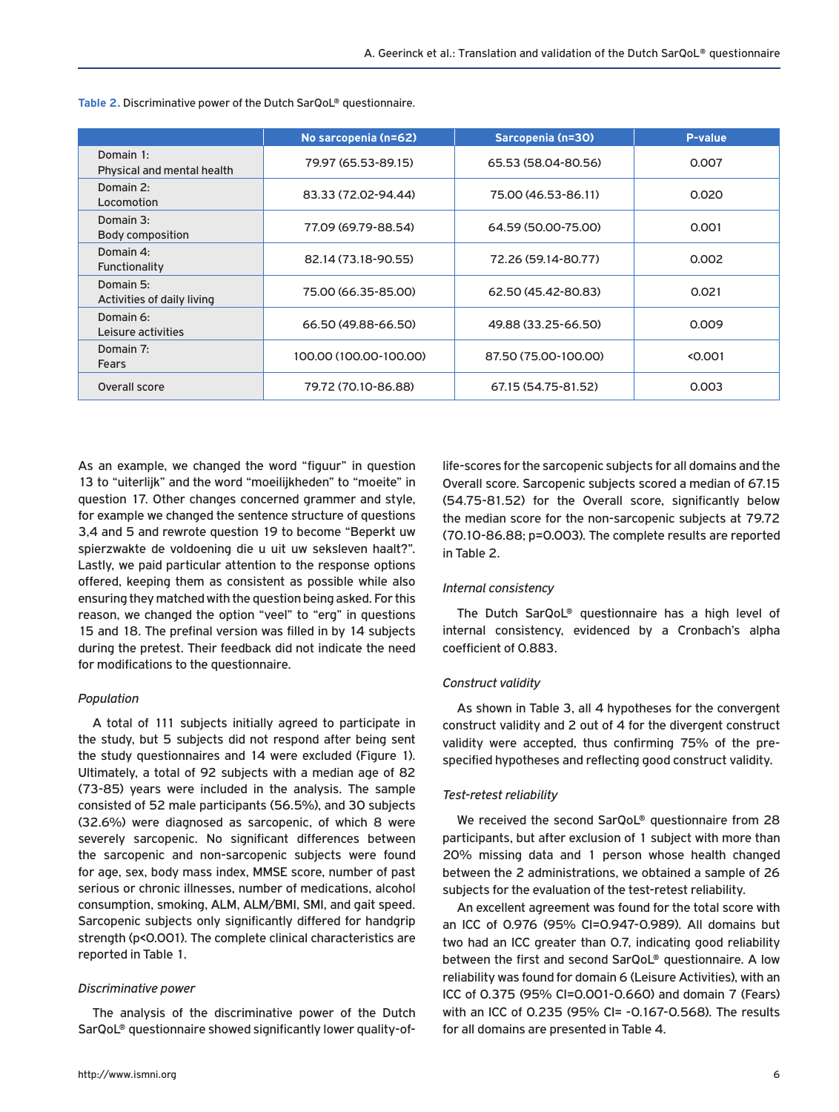|                                                                | No sarcopenia (n=62) | Sarcopenia (n=30)    | P-value |
|----------------------------------------------------------------|----------------------|----------------------|---------|
| Domain $1:$<br>Physical and mental health                      | 79.97 (65.53-89.15)  | 65.53 (58.04-80.56)  | 0.007   |
| Domain 2:<br>Locomotion                                        | 83.33 (72.02-94.44)  | 75.00 (46.53-86.11)  | 0.020   |
| Domain 3:<br>Body composition                                  | 77.09 (69.79-88.54)  | 64.59 (50.00-75.00)  | 0.001   |
| Domain 4:<br>82.14 (73.18-90.55)<br>Functionality              |                      | 72.26 (59.14-80.77)  | 0.002   |
| Domain 5:<br>75.00 (66.35-85.00)<br>Activities of daily living |                      | 62.50 (45.42-80.83)  | 0.021   |
| Domain 6:<br>66.50 (49.88-66.50)<br>Leisure activities         |                      | 49.88 (33.25-66.50)  | 0.009   |
| Domain 7:<br>100.00 (100.00-100.00)<br>Fears                   |                      | 87.50 (75.00-100.00) | < 0.001 |
| Overall score                                                  | 79.72 (70.10-86.88)  | 67.15 (54.75-81.52)  | 0.003   |

**Table 2.** Discriminative power of the Dutch SarQoL® questionnaire.

As an example, we changed the word "figuur" in question 13 to "uiterlijk" and the word "moeilijkheden" to "moeite" in question 17. Other changes concerned grammer and style, for example we changed the sentence structure of questions 3,4 and 5 and rewrote question 19 to become "Beperkt uw spierzwakte de voldoening die u uit uw seksleven haalt?". Lastly, we paid particular attention to the response options offered, keeping them as consistent as possible while also ensuring they matched with the question being asked. For this reason, we changed the option "veel" to "erg" in questions 15 and 18. The prefinal version was filled in by 14 subjects during the pretest. Their feedback did not indicate the need for modifications to the questionnaire.

#### *Population*

A total of 111 subjects initially agreed to participate in the study, but 5 subjects did not respond after being sent the study questionnaires and 14 were excluded (Figure 1). Ultimately, a total of 92 subjects with a median age of 82 (73-85) years were included in the analysis. The sample consisted of 52 male participants (56.5%), and 30 subjects (32.6%) were diagnosed as sarcopenic, of which 8 were severely sarcopenic. No significant differences between the sarcopenic and non-sarcopenic subjects were found for age, sex, body mass index, MMSE score, number of past serious or chronic illnesses, number of medications, alcohol consumption, smoking, ALM, ALM/BMI, SMI, and gait speed. Sarcopenic subjects only significantly differed for handgrip strength (p<0.001). The complete clinical characteristics are reported in Table 1.

#### *Discriminative power*

The analysis of the discriminative power of the Dutch SarQoL® questionnaire showed significantly lower quality-of-

life-scores for the sarcopenic subjects for all domains and the Overall score. Sarcopenic subjects scored a median of 67.15 (54.75-81.52) for the Overall score, significantly below the median score for the non-sarcopenic subjects at 79.72 (70.10-86.88; p=0.003). The complete results are reported in Table 2.

#### *Internal consistency*

The Dutch SarQoL® questionnaire has a high level of internal consistency, evidenced by a Cronbach's alpha coefficient of 0.883.

#### *Construct validity*

As shown in Table 3, all 4 hypotheses for the convergent construct validity and 2 out of 4 for the divergent construct validity were accepted, thus confirming 75% of the prespecified hypotheses and reflecting good construct validity.

#### *Test-retest reliability*

We received the second SarQoL® questionnaire from 28 participants, but after exclusion of 1 subject with more than 20% missing data and 1 person whose health changed between the 2 administrations, we obtained a sample of 26 subjects for the evaluation of the test-retest reliability.

An excellent agreement was found for the total score with an ICC of 0.976 (95% CI=0.947-0.989). All domains but two had an ICC greater than 0.7, indicating good reliability between the first and second SarQoL® questionnaire. A low reliability was found for domain 6 (Leisure Activities), with an ICC of 0.375 (95% CI=0.001-0.660) and domain 7 (Fears) with an ICC of 0.235 (95% CI= -0.167-0.568). The results for all domains are presented in Table 4.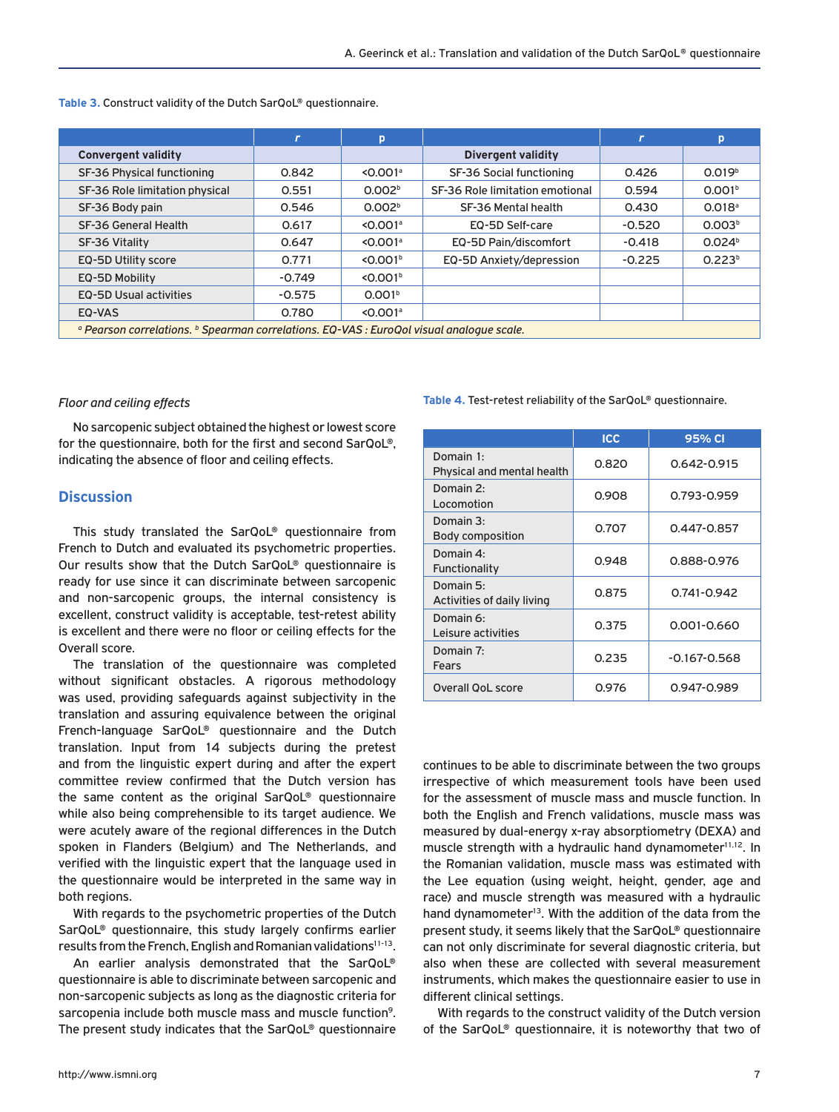|                                                                                                                | П        | p                      |                                 | $\mathbf{r}$ | p                    |
|----------------------------------------------------------------------------------------------------------------|----------|------------------------|---------------------------------|--------------|----------------------|
| <b>Convergent validity</b>                                                                                     |          |                        | <b>Divergent validity</b>       |              |                      |
| SF-36 Physical functioning                                                                                     | 0.842    | $< 0.001$ <sup>a</sup> | SF-36 Social functioning        | 0.426        | 0.019 <sup>b</sup>   |
| SF-36 Role limitation physical                                                                                 | 0.551    | 0.002 <sup>b</sup>     | SF-36 Role limitation emotional | 0.594        | 0.001 <sup>b</sup>   |
| SF-36 Body pain                                                                                                | 0.546    | 0.002 <sup>b</sup>     | SF-36 Mental health             | 0.430        | $0.018$ <sup>a</sup> |
| SF-36 General Health                                                                                           | 0.617    | $< 0.001$ <sup>a</sup> | EQ-5D Self-care                 | $-0.520$     | 0.003 <sup>b</sup>   |
| SF-36 Vitality                                                                                                 | 0.647    | $< 0.001$ <sup>a</sup> | EQ-5D Pain/discomfort           | $-0.418$     | 0.024 <sup>b</sup>   |
| EQ-5D Utility score                                                                                            | 0.771    | < 0.001 <sup>b</sup>   | EQ-5D Anxiety/depression        | $-0.225$     | 0.223 <sup>b</sup>   |
| EQ-5D Mobility                                                                                                 | $-0.749$ | $<$ 0.001 $b$          |                                 |              |                      |
| <b>EQ-5D Usual activities</b>                                                                                  | $-0.575$ | 0.001 <sup>b</sup>     |                                 |              |                      |
| EQ-VAS                                                                                                         | 0.780    | $< 0.001$ <sup>a</sup> |                                 |              |                      |
| <sup>o</sup> Pearson correlations. <sup>b</sup> Spearman correlations. EQ-VAS : EuroQol visual analoque scale. |          |                        |                                 |              |                      |

**Table 3.** Construct validity of the Dutch SarQoL® questionnaire.

#### *Floor and ceiling effects*

No sarcopenic subject obtained the highest or lowest score for the questionnaire, both for the first and second SarQoL®, indicating the absence of floor and ceiling effects.

## **Discussion**

This study translated the SarQoL® questionnaire from French to Dutch and evaluated its psychometric properties. Our results show that the Dutch SarQoL® questionnaire is ready for use since it can discriminate between sarcopenic and non-sarcopenic groups, the internal consistency is excellent, construct validity is acceptable, test-retest ability is excellent and there were no floor or ceiling effects for the Overall score.

The translation of the questionnaire was completed without significant obstacles. A rigorous methodology was used, providing safeguards against subjectivity in the translation and assuring equivalence between the original French-language SarQoL® questionnaire and the Dutch translation. Input from 14 subjects during the pretest and from the linguistic expert during and after the expert committee review confirmed that the Dutch version has the same content as the original SarQoL® questionnaire while also being comprehensible to its target audience. We were acutely aware of the regional differences in the Dutch spoken in Flanders (Belgium) and The Netherlands, and verified with the linguistic expert that the language used in the questionnaire would be interpreted in the same way in both regions.

With regards to the psychometric properties of the Dutch SarQoL® questionnaire, this study largely confirms earlier results from the French, English and Romanian validations<sup>11-13</sup>.

An earlier analysis demonstrated that the SarQoL® questionnaire is able to discriminate between sarcopenic and non-sarcopenic subjects as long as the diagnostic criteria for sarcopenia include both muscle mass and muscle function<sup>9</sup>. The present study indicates that the SarQoL® questionnaire

#### **Table 4.** Test-retest reliability of the SarQoL® questionnaire.

|                                         | <b>ICC</b> | 95% CI           |
|-----------------------------------------|------------|------------------|
| Domain 1:<br>Physical and mental health | 0.820      | 0.642-0.915      |
| Domain 2:<br>Locomotion                 | 0.908      | 0.793-0.959      |
| Domain 3:<br>Body composition           | 0.707      | 0.447-0.857      |
| Domain 4:<br>Functionality              | 0.948      | 0.888-0.976      |
| Domain 5:<br>Activities of daily living | 0.875      | 0.741-0.942      |
| Domain 6:<br>Leisure activities         | 0.375      | 0.001-0.660      |
| Domain 7:<br>Fears                      | 0.235      | $-0.167 - 0.568$ |
| Overall OoL score                       | 0.976      | 0.947-0.989      |

continues to be able to discriminate between the two groups irrespective of which measurement tools have been used for the assessment of muscle mass and muscle function. In both the English and French validations, muscle mass was measured by dual-energy x-ray absorptiometry (DEXA) and muscle strength with a hydraulic hand dynamometer<sup>11,12</sup>. In the Romanian validation, muscle mass was estimated with the Lee equation (using weight, height, gender, age and race) and muscle strength was measured with a hydraulic hand dynamometer<sup>13</sup>. With the addition of the data from the present study, it seems likely that the SarQoL® questionnaire can not only discriminate for several diagnostic criteria, but also when these are collected with several measurement instruments, which makes the questionnaire easier to use in different clinical settings.

With regards to the construct validity of the Dutch version of the SarQoL® questionnaire, it is noteworthy that two of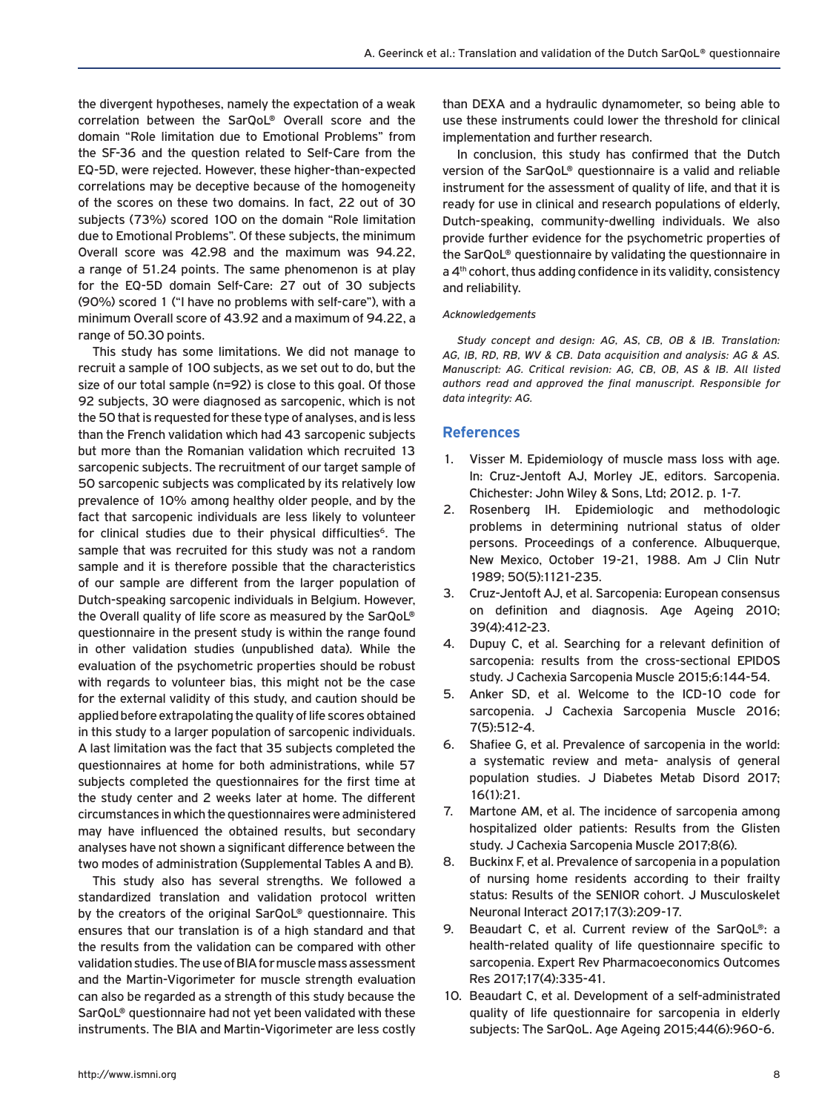the divergent hypotheses, namely the expectation of a weak correlation between the SarQoL® Overall score and the domain "Role limitation due to Emotional Problems" from the SF-36 and the question related to Self-Care from the EQ-5D, were rejected. However, these higher-than-expected correlations may be deceptive because of the homogeneity of the scores on these two domains. In fact, 22 out of 30 subjects (73%) scored 100 on the domain "Role limitation due to Emotional Problems". Of these subjects, the minimum Overall score was 42.98 and the maximum was 94.22, a range of 51.24 points. The same phenomenon is at play for the EQ-5D domain Self-Care: 27 out of 30 subjects (90%) scored 1 ("I have no problems with self-care"), with a minimum Overall score of 43.92 and a maximum of 94.22, a range of 50.30 points.

This study has some limitations. We did not manage to recruit a sample of 100 subjects, as we set out to do, but the size of our total sample (n=92) is close to this goal. Of those 92 subjects, 30 were diagnosed as sarcopenic, which is not the 50 that is requested for these type of analyses, and is less than the French validation which had 43 sarcopenic subjects but more than the Romanian validation which recruited 13 sarcopenic subjects. The recruitment of our target sample of 50 sarcopenic subjects was complicated by its relatively low prevalence of 10% among healthy older people, and by the fact that sarcopenic individuals are less likely to volunteer for clinical studies due to their physical difficulties<sup>6</sup>. The sample that was recruited for this study was not a random sample and it is therefore possible that the characteristics of our sample are different from the larger population of Dutch-speaking sarcopenic individuals in Belgium. However, the Overall quality of life score as measured by the SarQoL® questionnaire in the present study is within the range found in other validation studies (unpublished data). While the evaluation of the psychometric properties should be robust with regards to volunteer bias, this might not be the case for the external validity of this study, and caution should be applied before extrapolating the quality of life scores obtained in this study to a larger population of sarcopenic individuals. A last limitation was the fact that 35 subjects completed the questionnaires at home for both administrations, while 57 subjects completed the questionnaires for the first time at the study center and 2 weeks later at home. The different circumstances in which the questionnaires were administered may have influenced the obtained results, but secondary analyses have not shown a significant difference between the two modes of administration (Supplemental Tables A and B).

This study also has several strengths. We followed a standardized translation and validation protocol written by the creators of the original SarQoL® questionnaire. This ensures that our translation is of a high standard and that the results from the validation can be compared with other validation studies. The use of BIA for muscle mass assessment and the Martin-Vigorimeter for muscle strength evaluation can also be regarded as a strength of this study because the SarQoL® questionnaire had not yet been validated with these instruments. The BIA and Martin-Vigorimeter are less costly

than DEXA and a hydraulic dynamometer, so being able to use these instruments could lower the threshold for clinical implementation and further research.

In conclusion, this study has confirmed that the Dutch version of the SarQoL® questionnaire is a valid and reliable instrument for the assessment of quality of life, and that it is ready for use in clinical and research populations of elderly, Dutch-speaking, community-dwelling individuals. We also provide further evidence for the psychometric properties of the SarQoL® questionnaire by validating the questionnaire in a 4<sup>th</sup> cohort, thus adding confidence in its validity, consistency and reliability.

#### *Acknowledgements*

*Study concept and design: AG, AS, CB, OB & IB. Translation: AG, IB, RD, RB, WV & CB. Data acquisition and analysis: AG & AS. Manuscript: AG. Critical revision: AG, CB, OB, AS & IB. All listed authors read and approved the final manuscript. Responsible for data integrity: AG.*

#### **References**

- 1. Visser M. Epidemiology of muscle mass loss with age. In: Cruz-Jentoft AJ, Morley JE, editors. Sarcopenia. Chichester: John Wiley & Sons, Ltd; 2012. p. 1-7.
- 2. Rosenberg IH. Epidemiologic and methodologic problems in determining nutrional status of older persons. Proceedings of a conference. Albuquerque, New Mexico, October 19-21, 1988. Am J Clin Nutr 1989; 50(5):1121-235.
- 3. Cruz-Jentoft AJ, et al. Sarcopenia: European consensus on definition and diagnosis. Age Ageing 2010; 39(4):412-23.
- 4. Dupuy C, et al. Searching for a relevant definition of sarcopenia: results from the cross-sectional EPIDOS study. J Cachexia Sarcopenia Muscle 2015;6:144-54.
- 5. Anker SD, et al. Welcome to the ICD-10 code for sarcopenia. J Cachexia Sarcopenia Muscle 2016; 7(5):512-4.
- 6. Shafiee G, et al. Prevalence of sarcopenia in the world: a systematic review and meta- analysis of general population studies. J Diabetes Metab Disord 2017; 16(1):21.
- 7. Martone AM, et al. The incidence of sarcopenia among hospitalized older patients: Results from the Glisten study. J Cachexia Sarcopenia Muscle 2017;8(6).
- 8. Buckinx F, et al. Prevalence of sarcopenia in a population of nursing home residents according to their frailty status: Results of the SENIOR cohort. J Musculoskelet Neuronal Interact 2017;17(3):209-17.
- 9. Beaudart C, et al. Current review of the SarQoL®: a health-related quality of life questionnaire specific to sarcopenia. Expert Rev Pharmacoeconomics Outcomes Res 2017;17(4):335-41.
- 10. Beaudart C, et al. Development of a self-administrated quality of life questionnaire for sarcopenia in elderly subjects: The SarQoL. Age Ageing 2015;44(6):960-6.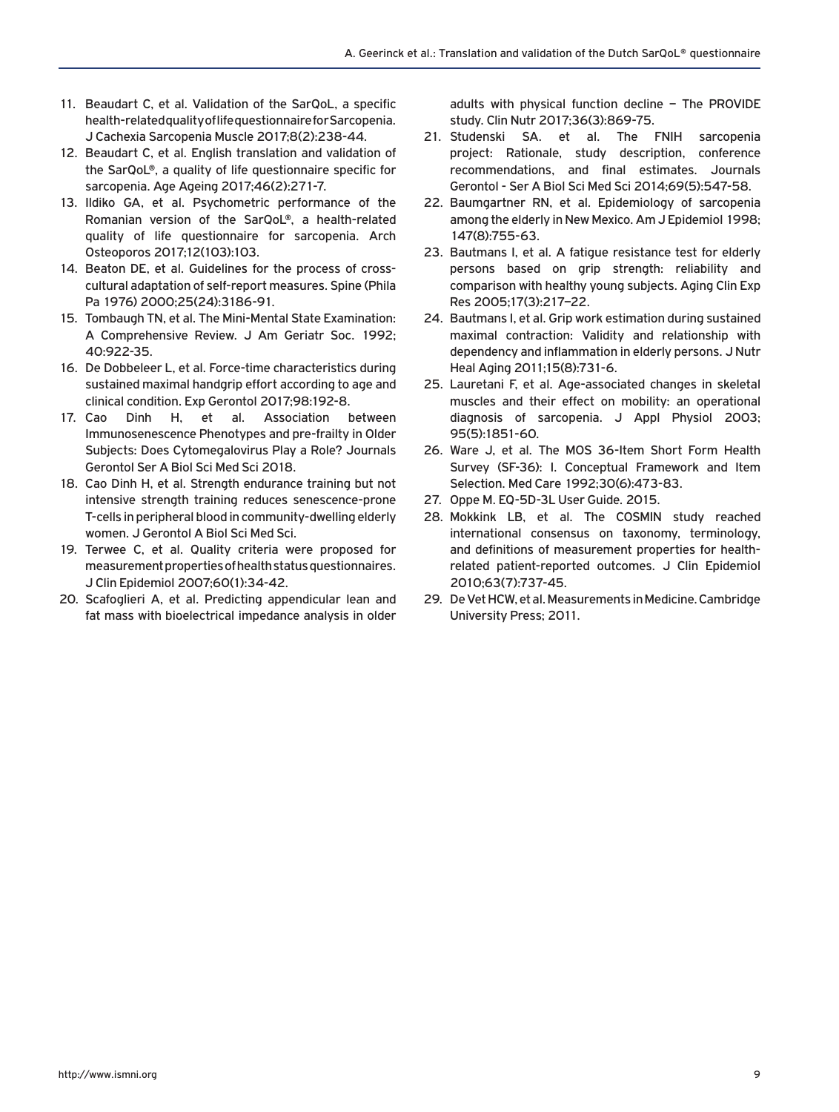- 11. Beaudart C, et al. Validation of the SarQoL, a specific health-related quality of life questionnaire for Sarcopenia. J Cachexia Sarcopenia Muscle 2017;8(2):238-44.
- 12. Beaudart C, et al. English translation and validation of the SarQoL®, a quality of life questionnaire specific for sarcopenia. Age Ageing 2017;46(2):271-7.
- 13. Ildiko GA, et al. Psychometric performance of the Romanian version of the SarQoL®, a health-related quality of life questionnaire for sarcopenia. Arch Osteoporos 2017;12(103):103.
- 14. Beaton DE, et al. Guidelines for the process of crosscultural adaptation of self-report measures. Spine (Phila Pa 1976) 2000;25(24):3186-91.
- 15. Tombaugh TN, et al. The Mini-Mental State Examination: A Comprehensive Review. J Am Geriatr Soc. 1992; 40:922-35.
- 16. De Dobbeleer L, et al. Force-time characteristics during sustained maximal handgrip effort according to age and clinical condition. Exp Gerontol 2017;98:192-8.
- 17. Cao Dinh H, et al. Association between Immunosenescence Phenotypes and pre-frailty in Older Subjects: Does Cytomegalovirus Play a Role? Journals Gerontol Ser A Biol Sci Med Sci 2018.
- 18. Cao Dinh H, et al. Strength endurance training but not intensive strength training reduces senescence-prone T-cells in peripheral blood in community-dwelling elderly women. J Gerontol A Biol Sci Med Sci.
- 19. Terwee C, et al. Quality criteria were proposed for measurement properties of health status questionnaires. J Clin Epidemiol 2007;60(1):34-42.
- 20. Scafoglieri A, et al. Predicting appendicular lean and fat mass with bioelectrical impedance analysis in older

adults with physical function decline – The PROVIDE study. Clin Nutr 2017;36(3):869-75.

- 21. Studenski SA. et al. The FNIH sarcopenia project: Rationale, study description, conference recommendations, and final estimates. Journals Gerontol - Ser A Biol Sci Med Sci 2014;69(5):547-58.
- 22. Baumgartner RN, et al. Epidemiology of sarcopenia among the elderly in New Mexico. Am J Epidemiol 1998; 147(8):755-63.
- 23. Bautmans I, et al. A fatigue resistance test for elderly persons based on grip strength: reliability and comparison with healthy young subjects. Aging Clin Exp Res 2005;17(3):217–22.
- 24. Bautmans I, et al. Grip work estimation during sustained maximal contraction: Validity and relationship with dependency and inflammation in elderly persons. J Nutr Heal Aging 2011;15(8):731-6.
- 25. Lauretani F, et al. Age-associated changes in skeletal muscles and their effect on mobility: an operational diagnosis of sarcopenia. J Appl Physiol 2003; 95(5):1851-60.
- 26. Ware J, et al. The MOS 36-Item Short Form Health Survey (SF-36): I. Conceptual Framework and Item Selection. Med Care 1992;30(6):473-83.
- 27. Oppe M. EQ-5D-3L User Guide. 2015.
- 28. Mokkink LB, et al. The COSMIN study reached international consensus on taxonomy, terminology, and definitions of measurement properties for healthrelated patient-reported outcomes. J Clin Epidemiol 2010;63(7):737-45.
- 29. De Vet HCW, et al. Measurements in Medicine. Cambridge University Press; 2011.